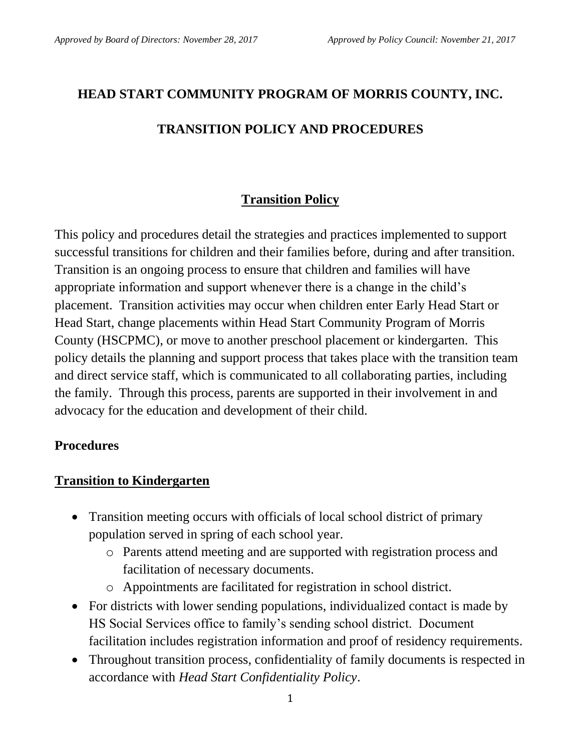# **HEAD START COMMUNITY PROGRAM OF MORRIS COUNTY, INC.**

## **TRANSITION POLICY AND PROCEDURES**

## **Transition Policy**

This policy and procedures detail the strategies and practices implemented to support successful transitions for children and their families before, during and after transition. Transition is an ongoing process to ensure that children and families will have appropriate information and support whenever there is a change in the child's placement. Transition activities may occur when children enter Early Head Start or Head Start, change placements within Head Start Community Program of Morris County (HSCPMC), or move to another preschool placement or kindergarten. This policy details the planning and support process that takes place with the transition team and direct service staff, which is communicated to all collaborating parties, including the family. Through this process, parents are supported in their involvement in and advocacy for the education and development of their child.

### **Procedures**

#### **Transition to Kindergarten**

- Transition meeting occurs with officials of local school district of primary population served in spring of each school year.
	- o Parents attend meeting and are supported with registration process and facilitation of necessary documents.
	- o Appointments are facilitated for registration in school district.
- For districts with lower sending populations, individualized contact is made by HS Social Services office to family's sending school district. Document facilitation includes registration information and proof of residency requirements.
- Throughout transition process, confidentiality of family documents is respected in accordance with *Head Start Confidentiality Policy*.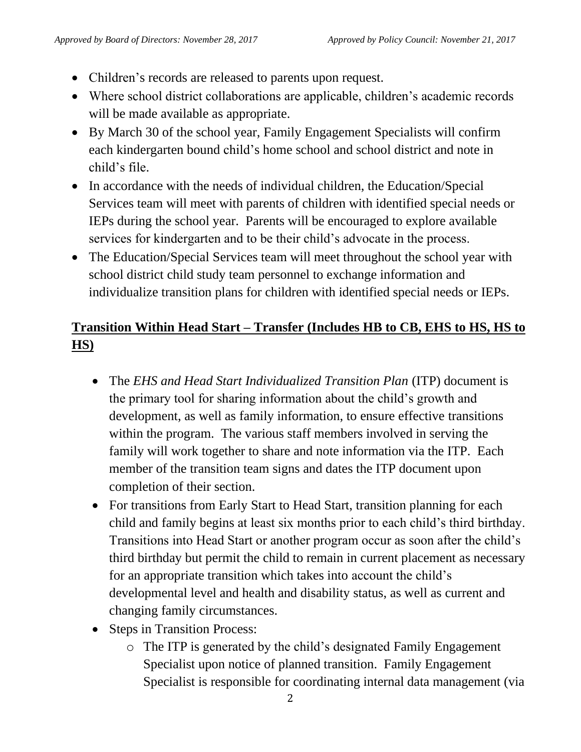- Children's records are released to parents upon request.
- Where school district collaborations are applicable, children's academic records will be made available as appropriate.
- By March 30 of the school year, Family Engagement Specialists will confirm each kindergarten bound child's home school and school district and note in child's file.
- In accordance with the needs of individual children, the Education/Special Services team will meet with parents of children with identified special needs or IEPs during the school year. Parents will be encouraged to explore available services for kindergarten and to be their child's advocate in the process.
- The Education/Special Services team will meet throughout the school year with school district child study team personnel to exchange information and individualize transition plans for children with identified special needs or IEPs.

## **Transition Within Head Start – Transfer (Includes HB to CB, EHS to HS, HS to HS)**

- The *EHS and Head Start Individualized Transition Plan* (ITP) document is the primary tool for sharing information about the child's growth and development, as well as family information, to ensure effective transitions within the program. The various staff members involved in serving the family will work together to share and note information via the ITP. Each member of the transition team signs and dates the ITP document upon completion of their section.
- For transitions from Early Start to Head Start, transition planning for each child and family begins at least six months prior to each child's third birthday. Transitions into Head Start or another program occur as soon after the child's third birthday but permit the child to remain in current placement as necessary for an appropriate transition which takes into account the child's developmental level and health and disability status, as well as current and changing family circumstances.
- Steps in Transition Process:
	- o The ITP is generated by the child's designated Family Engagement Specialist upon notice of planned transition. Family Engagement Specialist is responsible for coordinating internal data management (via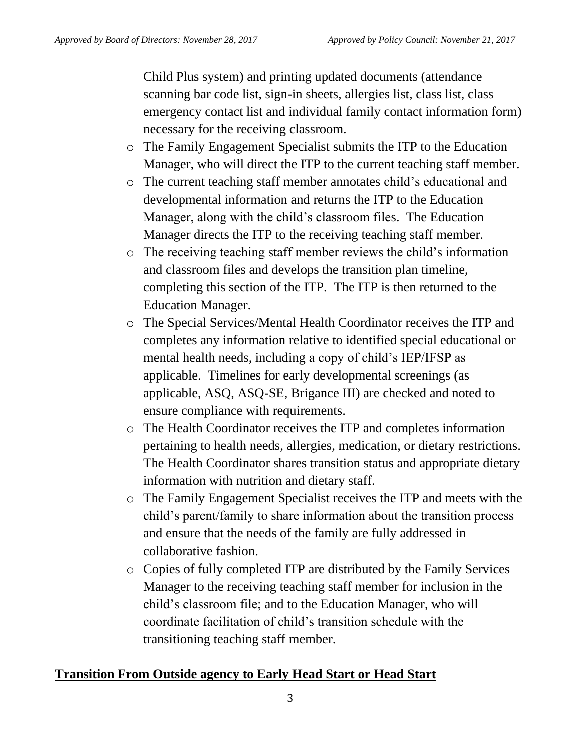Child Plus system) and printing updated documents (attendance scanning bar code list, sign-in sheets, allergies list, class list, class emergency contact list and individual family contact information form) necessary for the receiving classroom.

- o The Family Engagement Specialist submits the ITP to the Education Manager, who will direct the ITP to the current teaching staff member.
- o The current teaching staff member annotates child's educational and developmental information and returns the ITP to the Education Manager, along with the child's classroom files. The Education Manager directs the ITP to the receiving teaching staff member.
- o The receiving teaching staff member reviews the child's information and classroom files and develops the transition plan timeline, completing this section of the ITP. The ITP is then returned to the Education Manager.
- o The Special Services/Mental Health Coordinator receives the ITP and completes any information relative to identified special educational or mental health needs, including a copy of child's IEP/IFSP as applicable. Timelines for early developmental screenings (as applicable, ASQ, ASQ-SE, Brigance III) are checked and noted to ensure compliance with requirements.
- o The Health Coordinator receives the ITP and completes information pertaining to health needs, allergies, medication, or dietary restrictions. The Health Coordinator shares transition status and appropriate dietary information with nutrition and dietary staff.
- o The Family Engagement Specialist receives the ITP and meets with the child's parent/family to share information about the transition process and ensure that the needs of the family are fully addressed in collaborative fashion.
- o Copies of fully completed ITP are distributed by the Family Services Manager to the receiving teaching staff member for inclusion in the child's classroom file; and to the Education Manager, who will coordinate facilitation of child's transition schedule with the transitioning teaching staff member.

### **Transition From Outside agency to Early Head Start or Head Start**